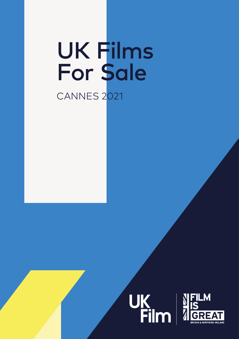# UK Films For Sale CANNES 2021



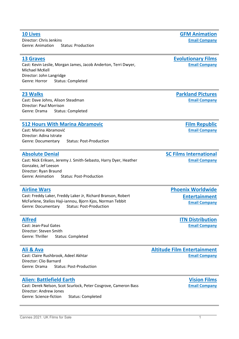**[10 Lives](https://cinando.com/en/Film/10_lives_377913/Detail)** Director: Chris Jenkins Genre: Animation Status: Production

### **[13 Graves](https://ukfilmn.i2ic.com/companies/evolutionary-films)**

Cast: Kevin Leslie, Morgan James, Jacob Anderton, Terri Dwyer, Michael McKell Director: John Langridge Genre: Horror Status: Completed

#### **[23 Walks](https://ukfilmn.i2ic.com/companies/parkland-pictures_)**

Cast: Dave Johns, Alison Steadman Director: Paul Morrison Genre: Drama Status: Completed

#### **[512 Hours With Marina Abramovic](https://ukfilmn.i2ic.com/companies/film-republic)**

Cast: Marina Abramović Director: Adina Istrate Genre: Documentary Status: Post-Production

#### **[Absolute Denial](https://cinando.com/en/Film/absolute_denial_376749/Detail)**

Cast: Nick Eriksen, Jeremy J. Smith-Sebasto, Harry Dyer, Heather Gonzalez, Jef Leeson Director: Ryan Braund Genre: Animation Status: Post-Production

#### **[Airline Wars](https://ukfilmn.i2ic.com/companies/phoenix)**

Cast: Freddy Laker, Freddy Laker Jr, Richard Branson, Robert McFarlene, Stelios Haji-iannou, Bjorn Kjos, Norman Tebbit Genre: Documentary Status: Post-Production

#### **[Alfred](https://cinando.com/en/Film/alfred_390802/Detail)**

Cast: Jean-Paul Gates Director: Steven Smith Genre: Thriller Status: Completed

#### **[Ali & Ava](https://ukfilmn.i2ic.com/companies/altitude)**

Cast: Claire Rushbrook, Adeel Akhtar Director: Clio Barnard Genre: Drama Status: Post-Production

#### **[Alien: Battlefield Earth](https://cinando.com/en/Film/alien_battlefield_earth_394171/Detail)**

Cast: Derek Nelson, Scot Scurlock, Peter Cosgrove, Cameron Bass Director: Andrew Jones Genre: Science-fiction Status: Completed

**[Phoenix Worldwide](https://phoenixworldent.com/)  [Entertainment](https://phoenixworldent.com/) [Email Company](mailto:info@phoenixworldent.com)**

**[SC Films International](https://scfilmsinternational.com/)**

**[ITN Distribution](http://www.itndistribution.com/) [Email Company](mailto:stuart@itnfilms.com)**

**[Altitude Film Entertainment](http://www.altitudefilment.com/) [Email Company](mailto:info@altitudefilment.com)**

> **[Vision Films](http://www.visionfilms.net/) [Email Company](mailto:sales@visionfilms.net)**

**[Evolutionary Films](https://www.evolutionaryfilms.com/) [Email Company](mailto:info@evolutionaryfilms.com)**

**[GFM Animation](http://www.gfmanimation.com/) [Email Company](mailto:general@gfmanimation.com)**

**[Email Company](mailto:info@parklandpictures.com)**

**[Parkland Pictures](https://www.parklandpictures.com/)**

**[Film Republic](http://www.filmrepublic.biz/)**

**[Email Company](mailto:info@filmrepublic.biz)**

**[Email Company](mailto:info@scfilmsinternational.com)**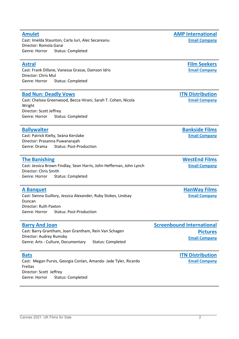### **[Amulet](https://ukfilmn.i2ic.com/companies/amp-international)**

Cast: Imelda Staunton, Carla Juri, Alec Secareanu Director: Romola Garai Genre: Horror Status: Completed

### **[Astral](https://ukfilmn.i2ic.com/companies/film-seekers_)**

Cast: Frank Dillane, Vanessa Grasse, Damson Idris Director: Chris Mul Genre: Horror Status: Completed

### **[Bad Nun: Deadly Vows](https://cinando.com/en/Film/bad_nun_deadly_vows_372501/Detail)**

Cast: Chelsea Greenwood, Becca Hirani, Sarah T. Cohen, Nicola Wright Director: Scott Jeffrey Genre: Horror Status: Completed

### **[Ballywalter](https://ukfilmn.i2ic.com/companies/bankside-films)**

Cast: Patrick Kielty, Seána Kerslake Director: Prasanna Puwanarajah Genre: Drama Status: Post-Production

### **[The Banishing](https://cinando.com/en/Film/the_banishing_282107/Detail)**

### Cast: Jessica Brown Findlay, Sean Harris, John Heffernan, John Lynch Director: Chris Smith Genre: Horror Status: Completed

### **[A Banquet](https://cinando.com/en/Film/a_banquet_389228/Detail)**

Cast: Sienna Guillory, Jessica Alexander, Ruby Stokes, Lindsay Duncan Director: Ruth Paxton Genre: Horror Status: Post-Production

### **[Barry And Joan](https://ukfilmn.i2ic.com/companies/screenbound-international-pictures)**

Cast: Barry Grantham, Joan Grantham, Rein Van Schagen Director: Audrey Rumsby Genre: Arts - Culture, Documentary Status: Completed

### **[Bats](https://cinando.com/en/Film/bats_376725/Detail)**

Cast: Megan Purvis, Georgia Conlan, Amanda- Jade Tyler, Ricardo Freitas Director: Scott Jeffrey Genre: Horror Status: Completed

**[Film Seekers](http://www.film-seekers.com/) [Email Company](mailto:sales@film-seekers.com)**

**[ITN Distribution](http://www.itndistribution.com/) [Email Company](mailto:stuart@itnfilms.com)**

**[Bankside Films](https://www.bankside-films.com/) [Email Company](mailto:films@bankside-films.com)**

**[WestEnd Films](https://www.westendfilms.com/home/) [Email Company](mailto:info@westendfilms.com)**

**[HanWay Films](https://www.hanwayfilms.com/) [Email Company](mailto:info@hanwayfilms.com)**

### **[Screenbound International](https://www.screenbound.co.uk/)  [Pictures](https://www.screenbound.co.uk/) [Email Company](mailto:info@screenbound.co.uk)**

**[ITN Distribution](http://www.itndistribution.com/) [Email Company](mailto:stuart@itnfilms.com)**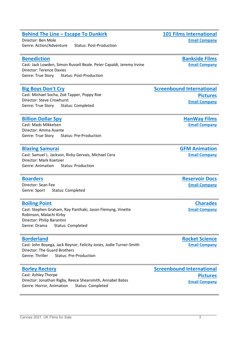### **Behind The Line – [Escape To Dunkirk](https://ukfilmn.i2ic.com/companies/101-films-international)**

Director: Ben Mole Genre: Action/Adventure Status: Post-Production

### **[Benediction](https://ukfilmn.i2ic.com/companies/bankside-films)**

Cast: Jack Lowden, Simon Russell Beale. Peter Capaldi, Jeremy Irvine Director: Terence Davies Genre: True Story Status: Post-Production

### **[Big Boys Don't Cry](https://cinando.com/en/Film/big_boys_dont_cry_363072/Detail)**

Cast: Michael Socha, Zoë Tapper, Poppy Roe Director: Steve Crowhurst Genre: True Story Status: Completed

### **[Billion Dollar Spy](https://cinando.com/en/Film/billion_dollar_spy_389226/Detail)**

Cast: Mads Mikkelsen Director: Amma Asante Genre: True Story Status: Pre-Production

### **[Blazing Samurai](https://cinando.com/en/Film/blazing_samurai_377911/Detail)**

Cast: Samuel L. Jackson, Ricky Gervais, Michael Cera Director: Mark Koetsier Genre: Animation Status: Production

### **[Boarders](https://cinando.com/en/Film/boarders_376872/Detail)**

Director: Sean Fee Genre: Sport Status: Completed

### **[Boiling Point](https://cinando.com/en/Film/boiling_point_362805/Detail)**

Cast: Stephen Graham, Ray Panthaki, Jason Flemyng, Vinette Robinson, Malachi Kirby Director: Philip Barantini Genre: Drama Status: Completed

### **[Borderland](https://ukfilmn.i2ic.com/companies/rocket-science)**

Cast: John Boyega, Jack Reynor, Felicity Jones, Jodie Turner-Smith Director: The Guard Brothers Genre: Thriller Status: Pre-Production

### **[Borley Rectory](https://ukfilmn.i2ic.com/companies/screenbound-international-pictures)**

Cast: Ashley Thorpe Director: Jonathan Rigby, Reece Shearsmith, Annabel Bates Genre: Horror, Animation Status: Completed

**[Screenbound International](https://www.screenbound.co.uk/)  [Pictures](https://www.screenbound.co.uk/) [Email Company](mailto:info@screenbound.co.uk)**

**[HanWay Films](https://www.hanwayfilms.com/) [Email Company](mailto:info@hanwayfilms.com)**

**[Pictures](https://www.screenbound.co.uk/) [Email Company](mailto:info@screenbound.co.uk)**

**[Bankside Films](https://www.bankside-films.com/) [Email Company](mailto:films@bankside-films.com)**

**[GFM Animation](http://www.gfmanimation.com/) [Email Company](mailto:general@gfmanimation.com)**

**[Reservoir Docs](http://www.reservoirdocs.net/) [Email Company](mailto:anais@reservoirdocs.net)**

> **[Charades](https://www.charades.eu/) [Email Company](mailto:lineup.charades.eu)**

**[Rocket Science](https://www.rocket-science.net/)**



**[Screenbound International](https://www.screenbound.co.uk/)** 

**[Email Company](mailto:info@rocket-science.net)**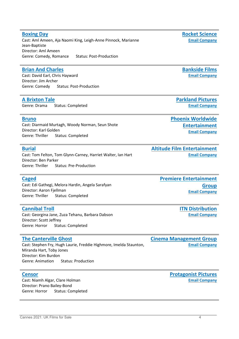### **[Boxing Day](https://ukfilmn.i2ic.com/companies/rocket-science)**

Cast: Aml Ameen, Aja Naomi King, Leigh-Anne Pinnock, Marianne Jean-Baptiste Director: Aml Ameen Genre: Comedy, Romance Status: Post-Production

### **[Brian And Charles](https://ukfilmn.i2ic.com/companies/bankside-films)**

Cast: David Earl, Chris Hayward Director: Jim Archer Genre: Comedy Status: Post-Production

### **[A Brixton Tale](https://cinando.com/en/Film/a_brixton_tale_388714/Detail)**

Genre: Drama Status: Completed

### **[Bruno](https://ukfilmn.i2ic.com/companies/phoenix)**

Cast: Diarmaid Murtagh, Woody Norman, Seun Shote Director: Karl Golden Genre: Thriller Status: Completed

#### **[Burial](https://ukfilmn.i2ic.com/companies/altitude)**

Cast: Tom Felton, Tom Glynn-Carney, Harriet Walter, Ian Hart Director: Ben Parker Genre: Thriller Status: Pre-Production

#### **[Caged](https://cinando.com/en/Film/caged_373422/Detail)**

Cast: Edi Gathegi, Melora Hardin, Angela Sarafyan Director: Aaron Fjellman Genre: Thriller Status: Completed

#### **[Cannibal Troll](https://cinando.com/en/Film/cannibal_troll_390689/Detail)**

Cast: Georgina Jane, Zuza Tehanu, Barbara Dabson Director: Scott Jeffrey Genre: Horror Status: Completed

#### **[The Canterville Ghost](https://cinando.com/en/Film/the_canterville_ghost_314803/Detail)**

Cast: Stephen Fry, Hugh Laurie, Freddie Highmore, Imelda Staunton, Miranda Hart, Toby Jones Director: Kim Burdon Genre: Animation Status: Production

#### **[Censor](https://cinando.com/en/Film/censor_380579/Detail)**

Cast: Niamh Algar, Clare Holman Director: Prano Bailey-Bond Genre: Horror Status: Completed **[Premiere Entertainment](http://www.premiereent.com/)  [Group](http://www.premiereent.com/) [Email Company](mailto:gabriela@premiereent.com)**

**[Altitude Film Entertainment](http://www.altitudefilment.com/)**

**[ITN Distribution](http://www.itndistribution.com/) [Email Company](mailto:stuart@itnfilms.com)**

**[Cinema Management Group](http://www.cinemamanagementgroup.com/)  [Email Company](mailto:info@cinemamanagementgroup.com)**

> **[Protagonist Pictures](https://protagonistpictures.com/) [Email Company](mailto:info@protagonistpictures.com)**

**[Rocket Science](https://www.rocket-science.net/) [Email Company](mailto:info@rocket-science.net)**

**[Bankside Films](https://www.bankside-films.com/) [Email Company](mailto:films@bankside-films.com)**

**[Parkland Pictures](https://www.parklandpictures.com/) [Email Company](mailto:info@parklandpictures.com)**

> **[Entertainment](https://phoenixworldent.com/) [Email Company](mailto:info@phoenixworldent.com)**

> > **[Email Company](mailto:info@altitudefilment.com)**

**[Phoenix Worldwide](https://phoenixworldent.com/)**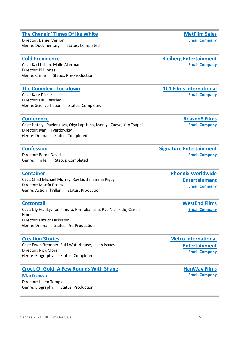### **[The Changin' Times Of Ike White](https://ukfilmn.i2ic.com/companies/met-film-sales)**

Director: Daniel Vernon Genre: Documentary Status: Completed

#### **[Cold Providence](https://cinando.com/en/Film/cold_providence_356435/Detail)**

Cast: Karl Urban, Malin Akerman Director: Bill Jones Genre: Crime Status: Pre-Production

#### **[The Complex -](https://ukfilmn.i2ic.com/companies/101-films-international) Lockdown**

Cast: Kate Dickie Director: Paul Raschid Genre: Science-fiction Status: Completed

#### **[Conference](https://ukfilmn.i2ic.com/companies/reason-11)**

### Cast: Natalya Pavlenkova, Olga Lapshina, Kseniya Zueva, Yan Tsapnik Director: Ivan I. Tverdovskiy Genre: Drama Status: Completed

#### **[Confession](https://cinando.com/en/Film/confession_391815/Detail)**

Director: Beton David Genre: Thriller Status: Completed

#### **[Container](https://ukfilmn.i2ic.com/companies/phoenix)**

Cast: Chad Michael Murray, Ray Liotta, Emma Rigby Director: Martín Rosete Genre: Action Thriller Status: Production

#### **[Cottontail](https://cinando.com/en/Film/cottontail_356573/Detail)**

Cast: Lily Franky, Tae Kimura, Rin Takanashi, Ryo Nishikido, Ciaran Hinds Director: Patrick Dickinson Genre: Drama Status: Pre-Production

#### **[Creation Stories](https://cinando.com/en/Film/creation_stories_333388/Detail)**

Cast: Ewen Bremner, Suki Waterhouse, Jason Isaacs Director: Nick Moran Genre: Biography Status: Completed

## **[Crock Of Gold: A Few Rounds With Shane](https://ukfilmn.i2ic.com/companies/hanway-films)**

**[MacGowan](https://ukfilmn.i2ic.com/companies/hanway-films)** Director: Julien Temple Genre: Biography Status: Production **[MetFilm Sales](https://www.metfilmsales.com/) [Email Company](mailto:vesna@metfilm.co.uk)**

**[Bleiberg Entertainment](http://www.bleibergent.com/) [Email Company](mailto:sales@bleibergent.com)**

**[101 Films International](https://101filmsinternational.com/) [Email Company](mailto:info@101-films.com)**

> **[Reason8 Films](http://reason8films.com/) [Email Company](mailto:info@reason8films.com)**

**[Signature Entertainment](http://www.signature-entertainment.co.uk/) [Email Company](mailto:info@signature-entertainment.co.uk)**

> **[Phoenix Worldwide](https://phoenixworldent.com/)  [Entertainment](https://phoenixworldent.com/) [Email Company](mailto:info@phoenixworldent.com)**

> > **[WestEnd Films](https://www.westendfilms.com/home/) [Email Company](mailto:info@westendfilms.com)**

**[Metro International](https://metro-films.com/)  [Entertainment](https://metro-films.com/) [Email Company](mailto:sales@metro-films.com)**

> **[HanWay Films](https://www.hanwayfilms.com/) [Email Company](mailto:info@hanwayfilms.com)**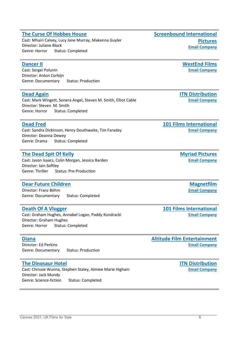### **[The Curse Of Hobbes House](https://cinando.com/en/Film/the_curse_of_hobbes_house_341629/Detail)**

Cast: Mhairi Calvey, Lucy Jane Murray, Makenna Guyler Director: Juliane Block Genre: Horror Status: Completed

### **[Dancer II](https://cinando.com/en/Film/dancer_2_working_title_350702/Detail)**

Cast: Sergei Polunin Director: Anton Corbijn Genre: Documentary Status: Production

### **[Dead Again](https://cinando.com/en/Film/dead_again_376654/Detail)**

Cast: Mark Wingett, Sonera Angel, Steven M. Smith, Elliot Cable Director: Steven M. Smith Genre: Horror Status: Completed

### **[Dead Fred](https://ukfilmn.i2ic.com/companies/101-films-international)**

Cast: Sandra Dickinson, Henry Douthwaite, Tim Faraday Director: Deanna Dewey Genre: Drama Status: Completed

### **[The Dead Spit Of Kelly](https://cinando.com/en/Film/the_dead_spit_of_kelly_364030/Detail)**

Cast: Jason Isaacs, Colin Morgan, Jessica Barden Director: Iain Softley Genre: Thriller Status: Pre-Production

### **[Dear Future Children](https://cinando.com/en/Film/dear_future_children_390747/Detail)**

Director: Franz Böhm Genre: Documentary Status: Completed

### **[Death Of A Vlogger](https://ukfilmn.i2ic.com/companies/101-films-international)**

Cast: Graham Hughes, Annabel Logan, Paddy Kondracki Director: Graham Hughes Genre: Horror Status: Completed

### **[Diana](https://ukfilmn.i2ic.com/companies/altitude)**

Director: Ed Perkins Genre: Documentary Status: Production

### **[The Dinosaur Hotel](https://cinando.com/en/Film/the_dinosaur_hotel_390686/Detail)**

Cast: Chrissie Wunna, Stephen Staley, Aimiee Marie Higham Director: Jack Mundy Genre: Science-fiction Status: Completed

**[Screenbound International](https://www.screenbound.co.uk/)  [Pictures](https://www.screenbound.co.uk/) [Email Company](mailto:info@screenbound.co.uk)**

### **[WestEnd Films](https://www.westendfilms.com/home/) [Email Company](mailto:info@westendfilms.com)**

**[ITN Distribution](http://www.itndistribution.com/) [Email Company](mailto:stuart@itnfilms.com)**

### **[101 Films International](https://101filmsinternational.com/) [Email Company](mailto:info@101-films.com)**

**[Myriad Pictures](http://www.myriadpictures.com/) [Email Company](mailto:info@myriadpictures.com)**

> **[Magnetfilm](http://www.magnetfilm.de/) [Email Company](mailto:info@magnetfilm.de)**

### **[101 Films International](https://101filmsinternational.com/) [Email Company](mailto:info@101-films.com)**

### **[Altitude Film Entertainment](http://www.altitudefilment.com/) [Email Company](mailto:info@altitudefilment.com)**

### **[ITN Distribution](http://www.itndistribution.com/) [Email Company](mailto:stuart@itnfilms.com)**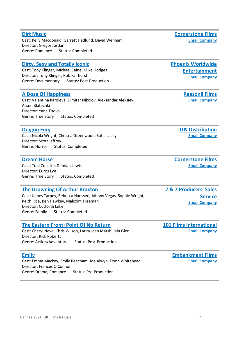### **[Dirt Music](https://ukfilmn.i2ic.com/companies/cornerstone-films)**

Cast: Kelly Macdonald, Garrett Hedlund, David Wenham Director: Gregor Jordan Genre: Romance Status: Completed

### **[Dirty, Sexy and Totally Iconic](https://ukfilmn.i2ic.com/companies/phoenix)**

Cast: Tony Klinger, Michael Caine, Mike Hodges Director: Tony Klinger, Rob Fairhurst Genre: Documentary Status: Post-Production

### **[A Dose Of Happiness](https://ukfilmn.i2ic.com/companies/reason-12)**

Cast: Valentina Karoleva, Dimitar Nikolov, Aleksandar Aleksiev, Assen Blatechki Director: Yana Titova Genre: True Story Status: Completed

### **[Dragon Fury](https://cinando.com/en/Film/dragon_fury_390685/Detail)**

Cast: Nicola Wright, Chelsea Greenwood, Sofia Lacey Director: Scott Jeffrey Genre: Horror Status: Completed

### **[Dream Horse](https://ukfilmn.i2ic.com/companies/cornerstone-films)**

Cast: Toni Collette, Damian Lewis Director: Euros Lyn Genre: True Story Status: Completed

### **[The Drowning Of Arthur Braxton](https://cinando.com/en/Film/the_drowning_of_arthur_braxton_388301/Detail)**

Cast: James Tarpey, Rebecca Hanssen, Johnny Vegas, Sophie Wright, Keith Rice, Ben Hawkey, Malcolm Freeman Director: Cutforth Luke Genre: Family Status: Completed

### **[The Eastern Front: Point Of No Return](https://ukfilmn.i2ic.com/companies/101-films-international)**

Cast: Cheryl Neve, Chris Wilson, Laura Jean Marsh, Iain Glen Director: Rick Roberts Genre: Action/Adventure Status: Post-Production

### **[Emily](https://ukfilmn.i2ic.com/companies/embankment-films)**

Cast: Emma Mackey, Emily Beecham, Joe Alwyn, Fionn Whitehead Director: Frances O'Connor Genre: Drama, Romance Status: Pre-Production

**[Cornerstone Films](https://cornerstonefilm.com/)**

**[Email Company](mailto:office@cornerstonefilm.com)**

**[Phoenix Worldwide](https://phoenixworldent.com/)  [Entertainment](https://phoenixworldent.com/) [Email Company](mailto:info@phoenixworldent.com)**

> **[Reason8 Films](http://reason8films.com/) [Email Company](mailto:info@reason8films.com)**

**[ITN Distribution](http://www.itndistribution.com/) [Email Company](mailto:stuart@itnfilms.com)**

**[Cornerstone Films](https://cornerstonefilm.com/) [Email Company](mailto:office@cornerstonefilm.com)**

**[7 & 7 Producers' Sales](https://www.7and7.co.uk/)  [Service](https://www.7and7.co.uk/) [Email Company](mailto:info@7and7.co.uk)**

**[101 Films International](https://101filmsinternational.com/) [Email Company](mailto:info@101-films.com)**

> **[Embankment Films](https://www.embankmentfilms.com/) [Email Company](mailto:info@embankmentfilms.com)**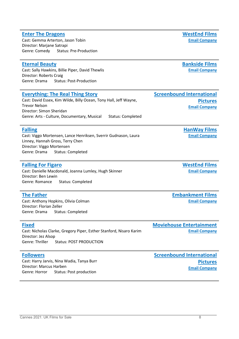#### **[Enter The Dragons](https://cinando.com/en/Film/enter_the_dragons_383334/Detail)**

Cast: Gemma Arterton, Jason Tobin Director: Marjane Satrapi Genre: Comedy Status: Pre-Production

### **[Eternal Beauty](https://ukfilmn.i2ic.com/companies/bankside-films)**

Cast: Sally Hawkins, Billie Piper, David Thewlis Director: Roberts Craig Genre: Drama Status: Post-Production

### **[Everything: The Real Thing Story](https://ukfilmn.i2ic.com/companies/screenbound-international-pictures)**

Cast: David Essex, Kim Wilde, Billy Ocean, Tony Hall, Jeff Wayne, Trevor Nelson Director: Simon Sheridan Genre: Arts - Culture, Documentary, Musical Status: Completed

### **[Falling](https://cinando.com/en/Film/falling_333149/Detail)**

Cast: Viggo Mortensen, Lance Henriksen, Sverrir Gudnason, Laura Linney, Hannah Gross, Terry Chen Director: Viggo Mortensen Genre: Drama Status: Completed

### **[Falling For Figaro](https://cinando.com/en/Film/falling_for_figaro_350327/Detail)**

Cast: Danielle Macdonald, Joanna Lumley, Hugh Skinner Director: Ben Lewin Genre: Romance Status: Completed

### **[The Father](https://ukfilmn.i2ic.com/companies/embankment-films)**

Cast: Anthony Hopkins, Olivia Colman Director: Florian Zeller Genre: Drama Status: Completed

| <b>Fixed</b>                                                        |                                | <b>Moviehouse Entertair</b> |
|---------------------------------------------------------------------|--------------------------------|-----------------------------|
| Cast: Nicholas Clarke, Gregory Piper, Esther Stanford, Nisaro Karim |                                | <b>Email C</b>              |
| Director: Jez Alsop                                                 |                                |                             |
| Genre: Thriller                                                     | <b>Status: POST PRODUCTION</b> |                             |
|                                                                     |                                |                             |

### **[Followers](https://ukfilmn.i2ic.com/companies/sc-films)**

Cast: Harry Jarvis, Nina Wadia, Tanya Burr Director: Marcus Harben Genre: Horror Status: Post production

**[WestEnd Films](https://www.westendfilms.com/home/) [Email Company](mailto:info@westendfilms.com)**

**[Bankside Films](https://www.bankside-films.com/) [Email Company](mailto:films@bankside-films.com)**

**[Pictures](https://www.screenbound.co.uk/) [Email Company](mailto:info@screenbound.co.uk)**

**[Screenbound International](https://www.screenbound.co.uk/)** 

**[HanWay Films](https://www.hanwayfilms.com/) [Email Company](mailto:info@hanwayfilms.com)**

**[WestEnd Films](https://www.westendfilms.com/home/) [Email Company](mailto:info@westendfilms.com)**

**[Embankment Films](https://www.embankmentfilms.com/) [Email Company](mailto:info@embankmentfilms.com)**

**nment Empany** 

**[Screenbound International](https://www.screenbound.co.uk/)  [Pictures](https://www.screenbound.co.uk/) [Email Company](mailto:info@screenbound.co.uk)**

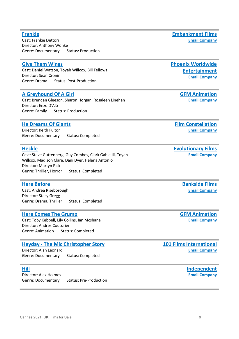### **[Frankie](https://ukfilmn.i2ic.com/companies/embankment-films)**

Cast: Frankie Dettori Director: Anthony Wonke Genre: Documentary Status: Production

### **[Give Them Wings](https://ukfilmn.i2ic.com/companies/phoenix)**

Cast: Daniel Watson, Toyah Willcox, Bill Fellows Director: Sean Cronin Genre: Drama Status: Post-Production

### **[A Greyhound Of A Girl](https://cinando.com/en/Film/a_greyhound_of_a_girl_377918/Detail)**

Cast: Brendan Gleeson, Sharon Horgan, Rosaleen Linehan Director: Enzo D'Alò Genre: Family Status: Production

### **[He Dreams Of Giants](https://ukfilmn.i2ic.com/companies/film-constellation)**

Director: Keith Fulton Genre: Documentary Status: Completed

#### **[Heckle](https://ukfilmn.i2ic.com/companies/evolutionary-films)**

Cast: Steve Guttenberg, Guy Combes, Clark Gable Iii, Toyah Willcox, Madison Clare, Dani Dyer, Helena Antonio Director: Martyn Pick Genre: Thriller, Horror Status: Completed

#### **[Here Before](https://ukfilmn.i2ic.com/companies/bankside-films)**

Cast: Andrea Riseborough Director: Stacy Gregg Genre: Drama, Thriller Status: Completed

#### **[Here Comes The Grump](https://cinando.com/en/Film/here_comes_the_grump_377919/Detail)**

Cast: Toby Kebbell, Lily Collins, Ian Mcshane Director: Andres Couturier Genre: Animation Status: Completed

#### **Heyday - [The Mic Christopher Story](https://ukfilmn.i2ic.com/companies/101-films-international)**

Director: Alan Leonard Genre: Documentary Status: Completed

### **[Hill](https://cinando.com/en/Film/hill_388205/Detail)**

Director: Alex Holmes Genre: Documentary Status: Pre-Production **[Email Company](mailto:info@embankmentfilms.com)**

**[Embankment Films](https://www.embankmentfilms.com/)**

### **[Phoenix Worldwide](https://phoenixworldent.com/)  [Entertainment](https://phoenixworldent.com/) [Email Company](mailto:info@phoenixworldent.com)**

**[GFM Animation](http://www.gfmanimation.com/) [Email Company](mailto:general@gfmanimation.com)**

**[Film Constellation](http://www.filmconstellation.com/) [Email Company](mailto:office@filmconstellation.com)**

**[Evolutionary Films](https://www.evolutionaryfilms.com/) [Email Company](mailto:info@evolutionaryfilms.com)**

> **[Bankside Films](https://www.bankside-films.com/) [Email Company](mailto:films@bankside-films.com)**

**[GFM Animation](http://www.gfmanimation.com/) [Email Company](mailto:general@gfmanimation.com)**

**[101 Films International](https://101filmsinternational.com/) [Email Company](mailto:info@101-films.com)**

> **[Independent](http://www.independentfilmcompany.com/) [Email Company](mailto:mail@independentfilmcompany.com)**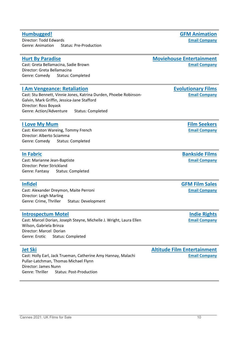### **[Humbugged!](https://cinando.com/en/Film/humbugged_377923/Detail)**

Director: Todd Edwards Genre: Animation Status: Pre-Production

### **[Hurt By Paradise](https://ukfilmn.i2ic.com/companies/moviehouse-entertainment)**

Cast: Greta Bellamacina, Sadie Brown Director: Greta Bellamacina Genre: Comedy Status: Completed

### **[I Am Vengeance: Retaliation](https://ukfilmn.i2ic.com/companies/evolutionary-films)**

Cast: Stu Bennett, Vinnie Jones, Katrina Durden, Phoebe Robinson-Galvin, Mark Griffin, Jessica-Jane Stafford Director: Ross Boyask Genre: Action/Adventure Status: Completed

### **[I Love My Mum](https://ukfilmn.i2ic.com/companies/film-seekers_)**

Cast: Kierston Wareing, Tommy French Director: Alberto Sciamma Genre: Comedy Status: Completed

#### **[In Fabric](https://ukfilmn.i2ic.com/companies/bankside-films)**

Cast: Marianne Jean-Baptiste Director: Peter Strickland Genre: Fantasy Status: Completed

### **[Infidel](https://cinando.com/en/Film/infidel_356786/Detail)**

Cast: Alexander Dreymon, Maite Perroni Director: Leigh Marling Genre: Crime, Thriller Status: Development

#### **[Introspectum Motel](https://cinando.com/en/Film/introspectum_motel_387307/Detail)**

Cast: Marcel Dorian, Joseph Steyne, Michelle J. Wright, Laura Ellen Wilson, Gabriela Brinza Director: Marcel Dorian Genre: Erotic Status: Completed

#### **[Jet Ski](https://ukfilmn.i2ic.com/companies/altitude)**

Cast: Holly Earl, Jack Trueman, Catherine Amy Hannay, Malachi Pullar-Latchman, Thomas Michael Flynn Director: James Nunn Genre: Thriller Status: Post-Production

**[GFM Animation](http://www.gfmanimation.com/) [Email Company](mailto:general@gfmanimation.com)**

#### **[Moviehouse Entertainment](http://www.moviehouseent.com/) [Email Company](mailto:info@moviehouseent.com)**

**[Evolutionary Films](https://www.evolutionaryfilms.com/) [Email Company](mailto:info@evolutionaryfilms.com)**

> **[Film Seekers](http://www.film-seekers.com/) [Email Company](mailto:sales@film-seekers.com)**

**[Bankside Films](https://www.bankside-films.com/) [Email Company](mailto:films@bankside-films.com)**

**[GFM Film Sales](http://www.gfmfilms.co.uk/) [Email Company](mailto:general@gfmfilms.co.uk)**

> **[Indie Rights](http://www.indierights.com/) [Email Company](mailto:info@indierights.com)**

**[Altitude Film Entertainment](http://www.altitudefilment.com/) [Email Company](mailto:info@altitudefilment.com)**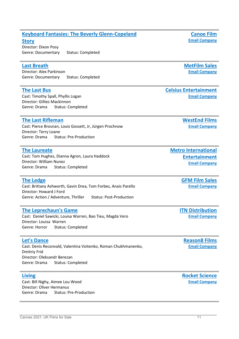### **[Keyboard Fantasies: The Beverly Glenn-Copeland](https://cinando.com/en/Film/keyboard_fantasies_the_beverly_glenncopeland_story_388900/Detail)**

**[Story](https://cinando.com/en/Film/keyboard_fantasies_the_beverly_glenncopeland_story_388900/Detail)**

Director: Dixon Posy Genre: Documentary Status: Completed

### **[Last Breath](https://ukfilmn.i2ic.com/companies/met-film-sales)**

Director: Alex Parkinson Genre: Documentary Status: Completed

#### **[The Last Bus](https://cinando.com/en/Film/the_last_bus_292193/Detail)**

Cast: Timothy Spall, Phyllis Logan Director: Gillies Mackinnon Genre: Drama Status: Completed

#### **[The Last Rifleman](https://cinando.com/en/Film/the_last_rifleman_375065/Detail)**

Cast: Pierce Brosnan, Louis Gossett, Jr, Jürgen Prochnow Director: Terry Loane Genre: Drama Status: Pre-Production

#### **[The Laureate](https://cinando.com/en/Film/the_laureate_363780/Detail)**

Cast: Tom Hughes, Dianna Agron, Laura Haddock Director: William Nunez Genre: Drama Status: Completed

#### **[The Ledge](https://cinando.com/en/Film/the_ledge_275134/Detail)**

Cast: Brittany Ashworth, Gavin Drea, Tom Forbes, Anais Parello Director: Howard J Ford Genre: Action / Adventure, Thriller Status: Post-Production

#### **[The Leprechaun's Game](https://cinando.com/en/Film/the_leprechauns_game_376723/Detail)**

Cast: Daniel Sawicki, Louisa Warren, Bao Tieu, Magda Vero Director: Louisa Warren Genre: Horror Status: Completed

### **[Let's Dance](https://ukfilmn.i2ic.com/companies/reason-14)**

Cast: Denis Reconvald, Valentina Voitenko, Roman Chukhmanenko, Dmitriy Frid Director: Oleksandr Berezan Genre: Drama Status: Completed

#### **[Living](https://ukfilmn.i2ic.com/companies/rocket-science)**

Cast: Bill Nighy, Aimee Lou Wood Director: Oliver Hermanus Genre: Drama Status: Pre-Production **[MetFilm Sales](https://www.metfilmsales.com/) [Email Company](mailto:vesna@metfilm.co.uk)**

## **[Celsius Entertainment](http://www.celsiusentertainment.com/)**

**[Email Company](mailto:sales@celsiusentertainment.com)**

**[Metro International](https://metro-films.com/)** 

**[WestEnd Films](https://www.westendfilms.com/home/) [Email Company](mailto:info@westendfilms.com)**

**[Entertainment](https://metro-films.com/) [Email Company](mailto:sales@metro-films.com)**

**[GFM Film Sales](http://www.gfmfilms.co.uk/) [Email Company](mailto:general@gfmfilms.co.uk)**

**[ITN Distribution](http://www.itndistribution.com/) [Email Company](mailto:stuart@itnfilms.com)**

**[Reason8 Films](http://reason8films.com/) [Email Company](mailto:info@reason8films.com)**

**[Rocket Science](https://www.rocket-science.net/) [Email Company](mailto:info@rocket-science.net)**

**[Canoe Film](http://www.canoe.film/) [Email Company](mailto:hello@canoe.film)**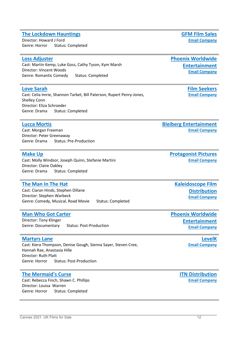### **[The Lockdown Hauntings](https://cinando.com/en/Film/the_lockdown_hauntings_389072/Detail)**

Director: Howard J Ford Genre: Horror Status: Completed

#### **[Loss Adjuster](https://ukfilmn.i2ic.com/companies/phoenix)**

Cast: Martin Kemp, Luke Goss, Cathy Tyson, Kym Marsh Director: Vincent Woods Genre: Romantic Comedy Status: Completed

#### **[Love Sarah](https://ukfilmn.i2ic.com/companies/film-seekers_)**

Cast: Celia Imrie, Shannon Tarbet, Bill Paterson, Rupert Penry-Jones, Shelley Conn Director: Eliza Schroeder Genre: Drama Status: Completed

#### **[Lucca Mortis](https://cinando.com/en/Film/lucca_mortis_371392/Detail)**

Cast: Morgan Freeman Director: Peter Greenaway Genre: Drama Status: Pre-Production

#### **[Make Up](https://ukfilmn.i2ic.com/companies/protagonist-pictures)**

Cast: Molly Windsor, Joseph Quinn, Stefanie Martini Director: Claire Oakley Genre: Drama Status: Completed

### **[The Man In The Hat](https://ukfilmn.i2ic.com/companies/kaleidoscope)**

Cast: Ciaran Hinds, Stephen Dillane Director: Stephen Warbeck Genre: Comedy, Musical, Road Movie Status: Completed

#### **[Man Who Got Carter](https://ukfilmn.i2ic.com/companies/phoenix)**

Director: Tony Klinger Genre: Documentary Status: Post-Production

#### **[Martyrs Lane](https://cinando.com/en/Film/martyrs_lane_363123/Detail)**

Cast: Kiera Thompson, Denise Gough, Sienna Sayer, Steven Cree, Hannah Rae, Anastasia Hille Director: Ruth Platt Genre: Horror Status: Post-Production

#### **[The Mermaid's Curse](https://cinando.com/en/Film/the_mermaids_curse_372502/Detail)**

Cast: Rebecca Finch, Shawn C. Phillips Director: Louisa Warren Genre: Horror Status: Completed

**[ITN Distribution](http://www.itndistribution.com/) [Email Company](mailto:stuart@itnfilms.com)**

**[Phoenix Worldwide](https://phoenixworldent.com/)  [Entertainment](https://phoenixworldent.com/) [Email Company](mailto:info@phoenixworldent.com)**

> **[Film Seekers](http://www.film-seekers.com/) [Email Company](mailto:sales@film-seekers.com)**

**[Bleiberg Entertainment](http://www.bleibergent.com/) [Email Company](mailto:sales@bleibergent.com)**

> **[Protagonist Pictures](https://protagonistpictures.com/) [Email Company](mailto:info@protagonistpictures.com)**

**[Kaleidoscope Film](http://www.kaleidoscopefilmdistribution.com/)  [Distribution](http://www.kaleidoscopefilmdistribution.com/) [Email Company](mailto:sales@kaleidoscopefilmdistribution.com)**

**[Phoenix Worldwide](https://phoenixworldent.com/)  [Entertainment](https://phoenixworldent.com/) [Email Company](mailto:info@phoenixworldent.com)**

> **[LevelK](http://www.levelk.dk/) [Email Company](mailto:niklas@levelk.dk)**

**[GFM Film Sales](http://www.gfmfilms.co.uk/) [Email Company](mailto:general@gfmfilms.co.uk)**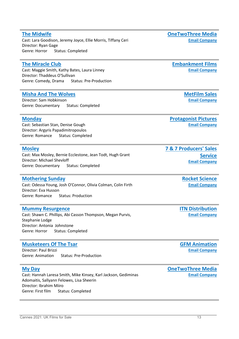#### **[The Midwife](https://cinando.com/en/Film/the_midwife_382545/Detail)**

Cast: Lara Goodison, Jeremy Joyce, Ellie Morris, Tiffany Ceri Director: Ryan Gage Genre: Horror Status: Completed

### **[The Miracle Club](https://ukfilmn.i2ic.com/companies/embankment-films)**

Cast: Maggie Smith, Kathy Bates, Laura Linney Director: Thaddeus O'Sullivan Genre: Comedy, Drama Status: Pre-Production

### **[Misha And The Wolves](https://ukfilmn.i2ic.com/companies/met-film-sales)**

Director: Sam Hobkinson Genre: Documentary Status: Completed

### **[Monday](https://ukfilmn.i2ic.com/companies/protagonist-pictures)**

Cast: Sebastian Stan, Denise Gough Director: Argyris Papadimitropoulos Genre: Romance Status: Completed

#### **[Mosley](https://cinando.com/en/Film/mosley_377104/Detail)**

Cast: Max Mosley, Bernie Ecclestone, Jean Todt, Hugh Grant Director: Michael Shevloff Genre: Documentary Status: Completed

#### **[Mothering Sunday](https://ukfilmn.i2ic.com/companies/rocket-science)**

Cast: Odessa Young, Josh O'Connor, Olivia Colman, Colin Firth Director: Eva Husson Genre: Romance Status: Production

#### **[Mummy Resurgence](https://cinando.com/en/Film/mummy_resurgence_376650/Detail)**

Cast: Shawn C. Phillips, Abi Casson Thompson, Megan Purvis, Stephanie Lodge Director: Antonia Johnstone Genre: Horror Status: Completed

#### **[Musketeers Of The Tsar](https://cinando.com/en/Film/musketeers_of_the_tsar_377915/Detail)**

Director: Paul Brizzi Genre: Animation Status: Pre-Production

#### **[My Day](https://cinando.com/en/Film/my_day_365329/Detail)**

Cast: Hannah Laresa Smith, Mike Kinsey, Karl Jackson, Gediminas Adomaitis, Sallyann Felowes, Lisa Sheerin Director: Ibrahim Miiro Genre: First film Status: Completed

**[Protagonist Pictures](https://protagonistpictures.com/)**

**[Email Company](mailto:info@7and7.co.uk)**

**[7 & 7 Producers' Sales](https://www.7and7.co.uk/)** 

**[Rocket Science](https://www.rocket-science.net/) [Email Company](mailto:info@rocket-science.net)**

**[ITN Distribution](http://www.itndistribution.com/) [Email Company](mailto:stuart@itnfilms.com)**

**[GFM Animation](http://www.gfmanimation.com/) [Email Company](mailto:general@gfmanimation.com)**

#### **[OneTwoThree Media](https://onetwothree.media/) [Email Company](mailto:info@onetwothree.media)**

**[OneTwoThree Media](https://onetwothree.media/)**

# **[Email Company](mailto:info@onetwothree.media)**

**[Embankment Films](https://www.embankmentfilms.com/)**

**[Email Company](mailto:info@embankmentfilms.com)**

**[MetFilm Sales](https://www.metfilmsales.com/) [Email Company](mailto:vesna@metfilm.co.uk)**

**[Email Company](mailto:info@protagonistpictures.com)**

**[Service](https://www.7and7.co.uk/)**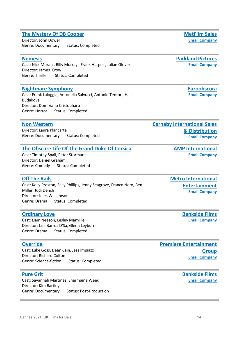#### Cannes 2021: UK Films for Sale 14

#### **[The Mystery Of DB Cooper](https://ukfilmn.i2ic.com/companies/met-film-sales)**

Director: John Dower Genre: Documentary Status: Completed

#### **[Nemesis](https://cinando.com/en/Film/nemesis_378042/Detail)**

Cast: Nick Moran , Billy Murray , Frank Harper , Julian Glover Director: James Crow Genre: Thriller Status: Completed

#### **[Nightmare Symphony](https://cinando.com/en/Film/nightmare_symphony_376624/Detail)**

Cast: Frank Laloggia, Antonella Salvucci, Antonio Tentori, Halil Budakova Director: Domiziano Cristopharo Genre: Horror Status: Completed

#### **[Non Western](https://ukfilmn.i2ic.com/companies/carnaby)**

Director: Laura Plancarte Genre: Documentary Status: Completed

#### **[The Obscure Life Of The Grand Duke Of Corsica](https://ukfilmn.i2ic.com/companies/amp-international)**

Cast: Timothy Spall, Peter Stormare Director: Daniel Graham Genre: Comedy Status: Completed

#### **[Off The Rails](https://cinando.com/en/Film/off_the_rails_333363/Detail)**

Cast: Kelly Preston, Sally Phillips, Jenny Seagrove, Franco Nero, Ben Miller, Judi Dench Director: Jules Williamson Genre: Drama Status: Completed

#### **[Ordinary Love](https://ukfilmn.i2ic.com/companies/bankside-films)**

Cast: Liam Neeson, Lesley Manville Director: Lisa Barros D'Sa, Glenn Leyburn Genre: Drama Status: Completed

#### **[Override](https://cinando.com/en/Film/override_355798/Detail)**

Cast: Luke Goss, Dean Cain, Jess Impiazzi Director: Richard Colton Genre: Science-fiction Status: Completed

#### **[Pure Grit](https://ukfilmn.i2ic.com/companies/bankside-films)**

Cast: Savannah Martinez, Sharmaine Weed Director: Kim Bartley Genre: Documentary Status: Post-Production **[Premiere Entertainment](http://www.premiereent.com/)  [Group](http://www.premiereent.com/) [Email Company](mailto:gabriela@premiereent.com)**

### **[Carnaby International Sales](http://www.carnabysales.com/)  [& Distribution](http://www.carnabysales.com/) [Email Company](mailto:office@carnabyinternational.com)**

**[AMP International](https://www.amp-film.com/home/) [Email Company](mailto:info@amp-film.com)**

**[Metro International](https://metro-films.com/)  [Entertainment](https://metro-films.com/) [Email Company](mailto:sales@metro-films.com)**

> **[Bankside Films](https://www.bankside-films.com/) Email [Company](mailto:films@bankside-films.com)**

**[Bankside Films](https://www.bankside-films.com/) [Email Company](mailto:films@bankside-films.com)**

**[MetFilm Sales](https://www.metfilmsales.com/)**

**[Parkland Pictures](https://www.parklandpictures.com/) [Email Company](mailto:info@parklandpictures.com)**

> **[Euroobscura](http://www.euroobscura.com/) [Email Company](mailto:info@euroobscura.com)**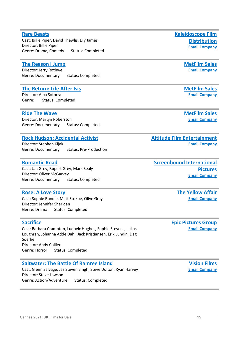#### **[Rare Beasts](https://ukfilmn.i2ic.com/companies/kaleidoscope)**

Cast: Billie Piper, David Thewlis, Lily James Director: Billie Piper Genre: Drama, Comedy Status: Completed

### **[The Reason I Jump](https://ukfilmn.i2ic.com/companies/met-film-sales)**

Director: Jerry Rothwell Genre: Documentary Status: Completed

### **[The Return: Life After Isis](https://ukfilmn.i2ic.com/companies/met-film-sales)**

Director: Alba Sotorra Genre: Status: Completed

### **[Ride The Wave](https://ukfilmn.i2ic.com/companies/met-film-sales)**

Director: Martyn Roberston Genre: Documentary Status: Completed

### **[Rock Hudson: Accidental Activist](https://ukfilmn.i2ic.com/companies/altitude)**

Director: Stephen Kijak Genre: Documentary Status: Pre-Production

### **[Romantic Road](https://www.imdb.com/title/tt6099468/)**

Cast: Jan Grey, Rupert Grey, Mark Sealy Director: Oliver McGarvey Genre: Documentary Status: Completed

### **[Rose: A Love Story](https://cinando.com/en/Film/rose_a_love_story_382663/Detail)**

Cast: Sophie Rundle, Matt Stokoe, Olive Gray Director: Jennifer Sheridan Genre: Drama Status: Completed

### **[Sacrifice](https://cinando.com/en/Film/sacrifice_365101/Detail)**

Cast: Barbara Crampton, Ludovic Hughes, Sophie Stevens, Lukas Loughran, Johanna Adde Dahl, Jack Kristiansen, Erik Lundin, Dag Soerlie Director: Andy Collier Genre: Horror Status: Completed

### **[Saltwater: The Battle Of Ramree Island](https://cinando.com/en/Film/saltwater_the_battle_of_ramree_island_382604/Detail)**

Cast: Glenn Salvage, Jas Steven Singh, Steve Dolton, Ryan Harvey Director: Steve Lawson Genre: Action/Adventure Status: Completed

**[Kaleidoscope Film](http://www.kaleidoscopefilmdistribution.com/)  [Distribution](http://www.kaleidoscopefilmdistribution.com/) [Email Company](mailto:sales@kaleidoscopefilmdistribution.com)**

> **[MetFilm Sales](https://www.metfilmsales.com/) [Email Company](mailto:vesna@metfilm.co.uk)**

> **[MetFilm Sales](https://www.metfilmsales.com/) [Email Company](mailto:vesna@metfilm.co.uk)**

> **[MetFilm Sales](https://www.metfilmsales.com/) [Email Company](mailto:vesna@metfilm.co.uk)**

**[Altitude Film Entertainment](http://www.altitudefilment.com/) [Email Company](mailto:info@altitudefilment.com)**

**[Screenbound International](https://www.screenbound.co.uk/)  [Pictures](https://www.screenbound.co.uk/) [Email Company](mailto:info@screenbound.co.uk)**

> **[The Yellow Affair](https://www.yellowaffair.com/) [Email Company](mailto:contact@yellowaffair.com)**

**[Epic Pictures Group](http://www.epic-pictures.com/) [Email Company](mailto:sales@epic-pictures.com)**

> **[Vision Films](http://www.visionfilms.net/) [Email Company](mailto:sales@visionfilms.net)**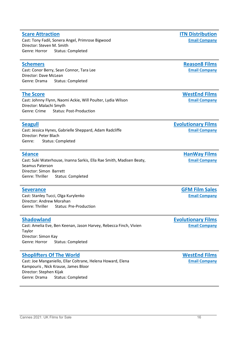### **[Scare Attraction](https://cinando.com/en/Film/scare_attraction_372521/Detail)**

Cast: Tony Fadil, Sonera Angel, Primrose Bigwood Director: Steven M. Smith Genre: Horror Status: Completed

### **[Schemers](https://ukfilmn.i2ic.com/companies/reason-16)**

Cast: Conor Berry, Sean Connor, Tara Lee Director: Dave McLean Genre: Drama Status: Completed

### **[The Score](https://cinando.com/en/Film/the_score_358118/Detail)**

Cast: Johnny Flynn, Naomi Ackie, Will Poulter, Lydia Wilson Director: Malachi Smyth Genre: Crime Status: Post-Production

### **[Seagull](https://ukfilmn.i2ic.com/companies/evolutionary-films)**

Cast: Jessica Hynes, Gabrielle Sheppard, Adam Radcliffe Director: Peter Blach Genre: Status: Completed

#### **[Séance](https://cinando.com/en/Film/seance_356167/Detail)**

Cast: Suki Waterhouse, Inanna Sarkis, Ella Rae Smith, Madisen Beaty, Seamus Paterson Director: Simon Barrett Genre: Thriller Status: Completed

#### **[Severance](https://cinando.com/en/Film/severance_123101/Detail)**

Cast: Stanley Tucci, Olga Kurylenko Director: Andrew Morahan Genre: Thriller Status: Pre-Production

#### **[Shadowland](https://ukfilmn.i2ic.com/companies/evolutionary-films)**

Cast: Amelia Eve, Ben Keenan, Jason Harvey, Rebecca Finch, Vivien Taylor Director: Simon Kay Genre: Horror Status: Completed

### **[Shoplifters Of The World](https://cinando.com/en/Film/shoplifters_of_the_world_253320/Detail)**

Cast: Joe Manganiello, Ellar Coltrane, Helena Howard, Elena Kampouris , Nick Krause, James Bloor Director: Stephen Kijak Genre: Drama Status: Completed

**[Reason8 Films](http://reason8films.com/)**

**[Email Company](mailto:info@reason8films.com)**

**[WestEnd Films](https://www.westendfilms.com/home/) [Email Company](mailto:info@westendfilms.com)**

**[Evolutionary Films](https://www.evolutionaryfilms.com/) [Email Company](mailto:info@evolutionaryfilms.com)**

> **[HanWay Films](https://www.hanwayfilms.com/) [Email Company](mailto:info@hanwayfilms.com)**

**[GFM Film Sales](http://www.gfmfilms.co.uk/) [Email Company](mailto:general@gfmfilms.co.uk)**

**[Evolutionary Films](https://www.evolutionaryfilms.com/) [Email Company](mailto:info@evolutionaryfilms.com)**

> **[WestEnd Films](https://www.westendfilms.com/home/) [Email Company](mailto:info@westendfilms.com)**

**[ITN Distribution](http://www.itndistribution.com/) [Email Company](mailto:stuart@itnfilms.com)**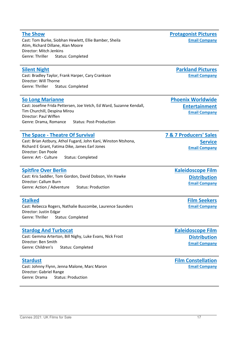#### **[The Show](https://ukfilmn.i2ic.com/companies/protagonist-pictures)** Cast: Tom Burke, Siobhan Hewlett, Ellie Bamber, Sheila Atim, Richard Dillane, Alan Moore Director: Mitch Jenkins Genre: Thriller Status: Completed

#### **[Silent Night](https://cinando.com/en/Film/silent_night_377841/Detail)**

Cast: Bradley Taylor, Frank Harper, Cary Crankson Director: Will Thorne Genre: Thriller Status: Completed

#### **[So Long Marianne](https://ukfilmn.i2ic.com/companies/phoenix)**

Cast: Josefine Frida Pettersen, Joe Vetch, Ed Ward, Suzanne Kendall, Tim Churchill, Despina Mirou Director: Paul Wiffen Genre: Drama, Romance Status: Post-Production

#### **The Space - [Theatre Of Survival](https://cinando.com/en/Film/the_space__theatre_of_survival_363612/Detail)**

Cast: Brian Astbury, Athol Fugard, John Kani, Winston Ntshona, Richard E Grant, Fatima Dike, James Earl Jones Director: Dan Poole Genre: Art - Culture Status: Completed

#### **[Spitfire Over Berlin](https://ukfilmn.i2ic.com/companies/kaleidoscope)**

Cast: Kris Saddler, Tom Gordon, David Dobson, Vin Hawke Director: Callum Burn Genre: Action / Adventure Status: Production

#### **[Stalked](https://ukfilmn.i2ic.com/companies/film-seekers_)**

Cast: Rebecca Rogers, Nathalie Buscombe, Laurence Saunders Director: Justin Edgar Genre: Thriller Status: Completed

#### **[Stardog And Turbocat](https://ukfilmn.i2ic.com/companies/kaleidoscope)**

Cast: Gemma Arterton, Bill Nighy, Luke Evans, Nick Frost Director: Ben Smith Genre: Children's Status: Completed

#### **[Stardust](https://ukfilmn.i2ic.com/companies/film-constellation)**

Cast: Johnny Flynn, Jenna Malone, Marc Maron Director: Gabriel Range Genre: Drama Status: Production

**[Protagonist Pictures](https://protagonistpictures.com/) [Email Company](mailto:info@protagonistpictures.com)**

> **[Parkland Pictures](https://www.parklandpictures.com/) [Email Company](mailto:info@parklandpictures.com)**

**[Phoenix Worldwide](https://phoenixworldent.com/)  [Entertainment](https://phoenixworldent.com/) [Email Company](mailto:info@phoenixworldent.com)**

**[Email Company](mailto:info@7and7.co.uk)**

**[Service](https://www.7and7.co.uk/)**

**[7 & 7 Producers' Sales](https://www.7and7.co.uk/)** 

**[Kaleidoscope Film](http://www.kaleidoscopefilmdistribution.com/)  [Distribution](http://www.kaleidoscopefilmdistribution.com/) [Email Company](mailto:sales@kaleidoscopefilmdistribution.com)**

> **[Film Seekers](http://www.film-seekers.com/) [Email Company](mailto:sales@film-seekers.com)**

**[Kaleidoscope Film](http://www.kaleidoscopefilmdistribution.com/)  [Distribution](http://www.kaleidoscopefilmdistribution.com/) [Email Company](mailto:sales@kaleidoscopefilmdistribution.com)**

**[Film Constellation](http://www.filmconstellation.com/) [Email Company](mailto:office@filmconstellation.com)**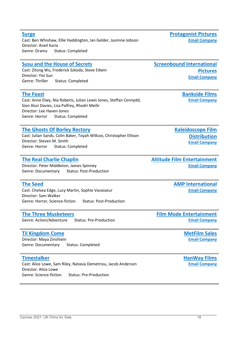Cast: Ben Whishaw, Ellie Haddington, Ian Gelder, Jasmine Jobson Director: Aneil Karia Genre: Drama Status: Completed

#### **[Susu and the House of Secrets](https://www.imdb.com/title/tt6913998/?ref_=fn_al_tt_2)**

Cast: Zitong Wu, Frederick Szkoda, Steve Edwin Director: Yixi Sun Genre: Thriller Status: Completed

#### **[The Feast](https://ukfilmn.i2ic.com/companies/bankside-films)**

**[Surge](https://ukfilmn.i2ic.com/companies/protagonist-pictures)**

Cast: Anne Elwy, Nia Roberts, Julian Lewis Jones, Steffan Cennydd, Sion Alun Davies, Lisa Palfrey, Rhodri Meilir Director: Lee Haven-Jones Genre: Horror Status: Completed

#### **[The Ghosts Of Borley Rectory](https://ukfilmn.i2ic.com/companies/kaleidoscope)**

Cast: Julian Sands, Colin Baker, Toyah Willcox, Christopher Ellison Director: Steven M. Smith Genre: Horror Status: Completed

#### **[The Real Charlie Chaplin](https://ukfilmn.i2ic.com/companies/altitude)**

Director: Peter Middleton, James Spinney Genre: Documentary Status: Post-Production

#### **[The Seed](https://cinando.com/en/Film/the_seed_377074/Detail)**

Cast: Chelsea Edge, Lucy Martin, Sophie Vavasseur Director: Sam Walker Genre: Horror, Science-fiction Status: Post-Production

#### **[The Three Musketeers](https://cinando.com/en/Film/the_three_musketeers_362986/Detail)**

Genre: Action/Adventure Status: Pre-Production

#### **[Til Kingdom Come](https://ukfilmn.i2ic.com/companies/met-film-sales)**

Director: Maya Zinshtein Genre: Documentary Status: Completed

#### **[Timestalker](https://cinando.com/en/Film/timestalker_389225/Detail)**

Cast: Alice Lowe, Sam Riley, Natasia Demetriou, Jacob Anderson Director: Alice Lowe Genre: Science-fiction Status: Pre-Production

**[Protagonist Pictures](https://protagonistpictures.com/) [Email Company](mailto:info@protagonistpictures.com)**

**[Screenbound International](https://www.screenbound.co.uk/)  [Pictures](https://www.screenbound.co.uk/) [Email Company](mailto:info@screenbound.co.uk)**

> **[Bankside Films](https://www.bankside-films.com/) [Email Company](mailto:films@bankside-films.com)**

**[Kaleidoscope Film](http://www.kaleidoscopefilmdistribution.com/)  [Distribution](http://www.kaleidoscopefilmdistribution.com/) [Email Company](mailto:sales@kaleidoscopefilmdistribution.com)**

#### **[Altitude Film Entertainment](http://www.altitudefilment.com/) [Email Company](mailto:info@altitudefilment.com)**

**[AMP International](https://www.amp-film.com/home/) [Email Company](mailto:info@amp-film.com)**

**[Film Mode Entertainment](http://www.filmmodeentertainment.com/) [Email Company](mailto:assistant@filmmodeentertainment.com)**

> **[MetFilm Sales](https://www.metfilmsales.com/) [Email Company](mailto:vesna@metfilm.co.uk)**

**[HanWay Films](https://www.hanwayfilms.com/) [Email Company](mailto:info@hanwayfilms.com)**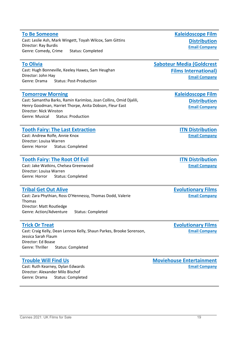#### **[To Be Someone](https://ukfilmn.i2ic.com/companies/kaleidoscope)** Cast: Leslie Ash, Mark Wingett, Toyah Wilcox, Sam Gittins Director: Ray Burdis Genre: Comedy, Crime Status: Completed

#### **[To Olivia](https://cinando.com/en/Film/to_olivia_315240/Detail)**

Cast: Hugh Bonneville, Keeley Hawes, Sam Heughan Director: John Hay Genre: Drama Status: Post-Production

#### **[Tomorrow Morning](https://ukfilmn.i2ic.com/companies/kaleidoscope)**

Cast: Samantha Barks, Ramin Karimloo, Joan Collins, Omid Djalili, Henry Goodman, Harriet Thorpe, Anita Dobson, Fleur East Director: Nick Winston Genre: Musical Status: Production

#### **[Tooth Fairy: The Last Extraction](https://cinando.com/en/Film/tooth_fairy_the_last_extraction_390770/Detail)**

Cast: Andrew Rolfe, Annie Knox Director: Louisa Warren Genre: Horror Status: Completed

#### **[Tooth Fairy: The Root Of Evil](https://cinando.com/en/Film/tooth_fairy_the_root_of_evil_372500/Detail)**

Cast: Jake Watkins, Chelsea Greenwood Director: Louisa Warren Genre: Horror Status: Completed

#### **[Tribal Get Out Alive](https://ukfilmn.i2ic.com/companies/evolutionary-films)**

Cast: Zara Phythian, Ross O'Hennessy, Thomas Dodd, Valerie Thomas Director: Matt Routledge Genre: Action/Adventure Status: Completed

#### **[Trick Or Treat](https://ukfilmn.i2ic.com/companies/evolutionary-films)**

Cast: Craig Kelly, Dean Lennox Kelly, Shaun Parkes, Brooke Sorenson, Jessica Sarah Flaum Director: Ed Boase Genre: Thriller Status: Completed

#### **[Trouble Will Find Us](https://cinando.com/en/Film/trouble_will_find_us_378375/Detail)**

Cast: Ruth Kearney, Dylan Edwards Director: Alexander Milo Bischof Genre: Drama Status: Completed **[Kaleidoscope Film](http://www.kaleidoscopefilmdistribution.com/)  [Distribution](http://www.kaleidoscopefilmdistribution.com/) [Email Company](mailto:sales@kaleidoscopefilmdistribution.com)**

**[Saboteur Media \(Goldcrest](http://www.saboteurmedia.com/)  [Films International\)](http://www.saboteurmedia.com/) [Email Company](mailto:sales@saboteurmedia.com)**

> **[Kaleidoscope Film](http://www.kaleidoscopefilmdistribution.com/)  [Distribution](http://www.kaleidoscopefilmdistribution.com/) [Email Company](mailto:sales@kaleidoscopefilmdistribution.com)**

> > **[ITN Distribution](http://www.itndistribution.com/) [Email Company](mailto:stuart@itnfilms.com)**

> > **[ITN Distribution](http://www.itndistribution.com/) [Email Company](mailto:stuart@itnfilms.com)**

**[Evolutionary Films](https://www.evolutionaryfilms.com/) [Email Company](mailto:info@evolutionaryfilms.com)**

**[Evolutionary Films](https://www.evolutionaryfilms.com/) [Email Company](mailto:info@evolutionaryfilms.com)**

**[Moviehouse Entertainment](http://www.moviehouseent.com/) [Email Company](mailto:info@moviehouseent.com)**

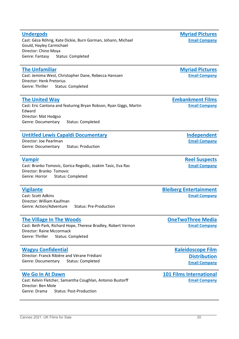#### **[Undergods](https://cinando.com/en/Film/undergods_376213/Detail)** Cast: Géza Röhrig, Kate Dickie, Burn Gorman, Johann, Michael Gould, Hayley Carmichael Director: Chino Moya Genre: Fantasy Status: Completed

#### **[The Unfamiliar](https://cinando.com/en/Film/the_unfamiliar_363907/Detail)**

Cast: Jemima West, Christopher Dane, Rebecca Hanssen Director: Henk Pretorius Genre: Thriller Status: Completed

#### **[The United Way](https://ukfilmn.i2ic.com/companies/embankment-films)**

Cast: Eric Cantona and featuring Bryan Robson, Ryan Giggs, Martin Edward Director: Mat Hodgso Genre: Documentary Status: Completed

### **[Untitled Lewis Capaldi Documentary](https://cinando.com/en/Film/untitled_lewis_capaldi_documentary_394669/Detail)**

Director: Joe Pearlman Genre: Documentary Status: Production

#### **[Vampir](https://cinando.com/en/Film/vampir_382180/Detail)**

Cast: Branko Tomovic, Gorica Regodic, Joakim Tasic, Eva Ras Director: Branko Tomovic Genre: Horror Status: Completed

#### **[Vigilante](https://cinando.com/en/Film/vigilante_356432/Detail)**

Cast: Scott Adkins Director: William Kaufman Genre: Action/Adventure Status: Pre-Production

#### **[The Village In The Woods](https://cinando.com/en/Film/the_village_in_the_woods_376029/Detail)**

Cast: Beth Park, Richard Hope, Therese Bradley, Robert Vernon Director: Raine Mccormack Genre: Thriller Status: Completed

### **[Wagyu Confidential](https://ukfilmn.i2ic.com/companies/kaleidoscope)**

Director: Franck Ribière and Vérane Frédiani Genre: Documentary Status: Completed

#### **[We Go In At Dawn](https://ukfilmn.i2ic.com/companies/101-films-international)**

Cast: Kelvin Fletcher, Samantha Coughlan, Antonio Bustorff Director: Ben Mole Genre: Drama Status: Post-Production

**[Bleiberg Entertainment](http://www.bleibergent.com/) [Email Company](mailto:sales@bleibergent.com)**

**[OneTwoThree Media](https://onetwothree.media/) [Email Company](mailto:info@onetwothree.media)**

> **[Kaleidoscope Film](http://www.kaleidoscopefilmdistribution.com/)  [Distribution](http://www.kaleidoscopefilmdistribution.com/) [Email Company](mailto:sales@kaleidoscopefilmdistribution.com)**

#### **[101 Films International](https://101filmsinternational.com/) [Email Company](mailto:info@101-films.com)**

**[Myriad Pictures](http://www.myriadpictures.com/) [Email Company](mailto:info@myriadpictures.com)**

**[Email Company](mailto:info@myriadpictures.com)**

**[Myriad Pictures](http://www.myriadpictures.com/)**

**[Embankment Films](https://www.embankmentfilms.com/) [Email Company](mailto:info@embankmentfilms.com)**

**[Reel Suspects](http://www.reelsuspects.com/)**

**[Independent](http://www.independentfilmcompany.com/)**

**[Email Company](mailto:m@reelsuspects.com)**

**[Email Company](mailto:mail@independentfilmcompany.com)**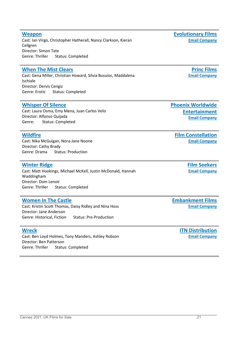### **[Weapon](https://ukfilmn.i2ic.com/companies/evolutionary-films)**

Cast: Ian Virgo, Christopher Hatherall, Nancy Clarkson, Kieran Cellgren Director: Simon Tate Genre: Thriller Status: Completed

### **[When The Mist Clears](https://cinando.com/en/Film/when_the_mist_clears_390440/Detail)**

Cast: Gena Miller, Christian Howard, Silvia Busuioc, Maddalena Ischiale Director: Dervis Cengiz Genre: Erotic Status: Completed

### **[Whisper Of Silence](https://ukfilmn.i2ic.com/companies/phoenix)**

Cast: Laura Osma, Emy Mena, Juan Carlos Velis Director: Alfonso Quijada Genre: Status: Completed

### **[Wildfire](https://ukfilmn.i2ic.com/companies/film-constellation)**

Cast: Nika McGuigan, Nora-Jane Noone Director: Cathy Brady Genre: Drama Status: Production

### **[Winter Ridge](https://ukfilmn.i2ic.com/companies/film-seekers_)**

Cast: Matt Hookings, Michael McKell, Justin McDonald, Hannah Waddingham Director: Dom Lenoir Genre: Thriller Status: Completed

### **[Women In The Castle](https://ukfilmn.i2ic.com/companies/embankment-films)**

Cast: Kristin Scott Thomas, Daisy Ridley and Nina Hoss Director: Jane Anderson Genre: Historical, Fiction Status: Pre-Production

### **[Wreck](https://cinando.com/en/Film/wreck_372522/Detail)**

Cast: Ben Loyd Holmes, Tony Manders, Ashley Robson Director: Ben Patterson Genre: Thriller Status: Completed

**[Phoenix Worldwide](https://phoenixworldent.com/)  [Entertainment](https://phoenixworldent.com/)**

**[Email Company](mailto:info@phoenixworldent.com)**

**[Film Constellation](http://www.filmconstellation.com/) [Email Company](mailto:office@filmconstellation.com)**

> **[Film Seekers](http://www.film-seekers.com/) [Email Company](mailto:sales@film-seekers.com)**

**[Embankment Films](https://www.embankmentfilms.com/) [Email Company](mailto:info@embankmentfilms.com)**

> **[ITN Distribution](http://www.itndistribution.com/) [Email Company](mailto:stuart@itnfilms.com)**

**[Evolutionary Films](https://www.evolutionaryfilms.com/) [Email Company](mailto:info@evolutionaryfilms.com)**

> **Princ Films [Email Company](mailto:)**